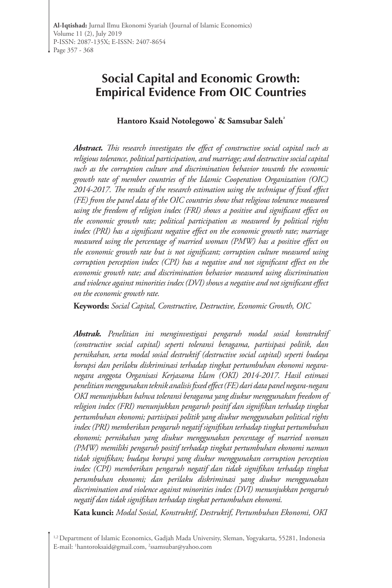# **Social Capital and Economic Growth: Empirical Evidence From OIC Countries**

#### **Hantoro Ksaid Notolegowo¹ & Samsubar Saleh²**

*Abstract. This research investigates the effect of constructive social capital such as religious tolerance, political participation, and marriage; and destructive social capital such as the corruption culture and discrimination behavior towards the economic growth rate of member countries of the Islamic Cooperation Organization (OIC) 2014-2017. The results of the research estimation using the technique of fixed effect (FE) from the panel data of the OIC countries show that religious tolerance measured using the freedom of religion index (FRI) shows a positive and significant effect on the economic growth rate; political participation as measured by political rights index (PRI) has a significant negative effect on the economic growth rate; marriage measured using the percentage of married woman (PMW) has a positive effect on the economic growth rate but is not significant; corruption culture measured using corruption perception index (CPI) has a negative and not significant effect on the economic growth rate; and discrimination behavior measured using discrimination and violence against minorities index (DVI) shows a negative and not significant effect on the economic growth rate.*

**Keywords:** *Social Capital, Constructive, Destructive, Economic Growth, OIC*

*Abstrak. Penelitian ini menginvestigasi pengaruh modal sosial konstruktif (constructive social capital) seperti toleransi beragama, partisipasi politik, dan pernikahan, serta modal sosial destruktif (destructive social capital) seperti budaya korupsi dan perilaku diskriminasi terhadap tingkat pertumbuhan ekonomi negaranegara anggota Organisasi Kerjasama Islam (OKI) 2014-2017. Hasil estimasi penelitian menggunakan teknik analisis fixed effect (FE) dari data panel negara-negara OKI menunjukkan bahwa toleransi beragama yang diukur menggunakan freedom of religion index (FRI) menunjukkan pengaruh positif dan signifikan terhadap tingkat pertumbuhan ekonomi; partisipasi politik yang diukur menggunakan political rights index (PRI) memberikan pengaruh negatif signifikan terhadap tingkat pertumbuhan ekonomi; pernikahan yang diukur menggunakan percentage of married woman (PMW) memiliki pengaruh positif terhadap tingkat pertumbuhan ekonomi namun tidak signifikan; budaya korupsi yang diukur menggunakan corruption perception index (CPI) memberikan pengaruh negatif dan tidak signifikan terhadap tingkat perumbuhan ekonomi; dan perilaku diskriminasi yang diukur menggunakan discrimination and violence against minorities index (DVI) menunjukkan pengaruh negatif dan tidak signifikan terhadap tingkat pertumbuhan ekonomi.*

**Kata kunci:** *Modal Sosial, Konstruktif, Destruktif, Pertumbuhan Ekonomi, OKI*

<sup>&</sup>lt;sup>1,2</sup> Department of Islamic Economics, Gadjah Mada University, Sleman, Yogyakarta, 55281, Indonesia E-mail: 1 hantoroksaid@gmail.com, 2 ssamsubar@yahoo.com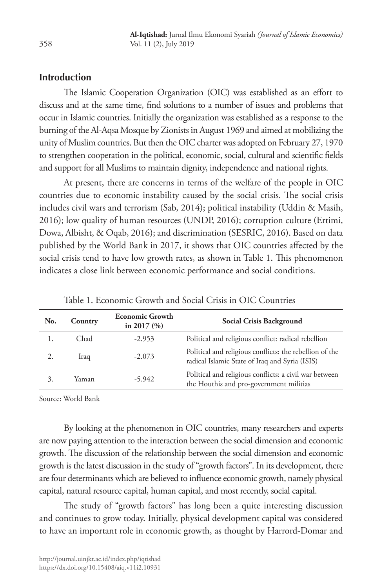# **Introduction**

The Islamic Cooperation Organization (OIC) was established as an effort to discuss and at the same time, find solutions to a number of issues and problems that occur in Islamic countries. Initially the organization was established as a response to the burning of the Al-Aqsa Mosque by Zionists in August 1969 and aimed at mobilizing the unity of Muslim countries. But then the OIC charter was adopted on February 27, 1970 to strengthen cooperation in the political, economic, social, cultural and scientific fields and support for all Muslims to maintain dignity, independence and national rights.

At present, there are concerns in terms of the welfare of the people in OIC countries due to economic instability caused by the social crisis. The social crisis includes civil wars and terrorism (Sab, 2014); political instability (Uddin & Masih, 2016); low quality of human resources (UNDP, 2016); corruption culture (Ertimi, Dowa, Albisht, & Oqab, 2016); and discrimination (SESRIC, 2016). Based on data published by the World Bank in 2017, it shows that OIC countries affected by the social crisis tend to have low growth rates, as shown in Table 1. This phenomenon indicates a close link between economic performance and social conditions.

| No. | Country | <b>Economic Growth</b><br>in 2017 $(%$ | Social Crisis Background                                                                                  |
|-----|---------|----------------------------------------|-----------------------------------------------------------------------------------------------------------|
|     | Chad    | $-2.953$                               | Political and religious conflict: radical rebellion                                                       |
|     | Iraq    | $-2.073$                               | Political and religious conflicts: the rebellion of the<br>radical Islamic State of Iraq and Syria (ISIS) |
| 3.  | Yaman   | $-5.942$                               | Political and religious conflicts: a civil war between<br>the Houthis and pro-government militias         |

Table 1. Economic Growth and Social Crisis in OIC Countries

Source: World Bank

By looking at the phenomenon in OIC countries, many researchers and experts are now paying attention to the interaction between the social dimension and economic growth. The discussion of the relationship between the social dimension and economic growth is the latest discussion in the study of "growth factors". In its development, there are four determinants which are believed to influence economic growth, namely physical capital, natural resource capital, human capital, and most recently, social capital.

The study of "growth factors" has long been a quite interesting discussion and continues to grow today. Initially, physical development capital was considered to have an important role in economic growth, as thought by Harrord-Domar and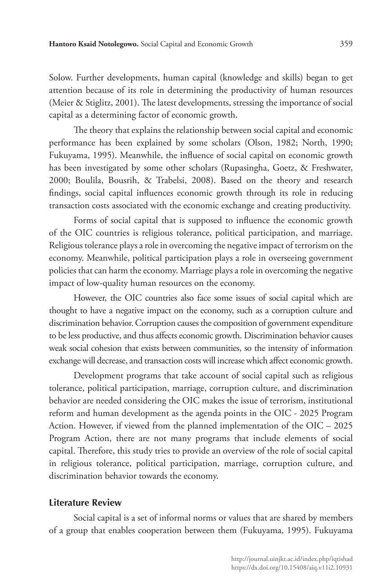Solow. Further developments, human capital (knowledge and skills) began to get attention because of its role in determining the productivity of human resources (Meier & Stiglitz, 2001). The latest developments, stressing the importance of social capital as a determining factor of economic growth.

The theory that explains the relationship between social capital and economic performance has been explained by some scholars (Olson, 1982; North, 1990; Fukuyama, 1995). Meanwhile, the influence of social capital on economic growth has been investigated by some other scholars (Rupasingha, Goetz, & Freshwater, 2000; Boulila, Bousrih, & Trabelsi, 2008). Based on the theory and research findings, social capital influences economic growth through its role in reducing transaction costs associated with the economic exchange and creating productivity.

Forms of social capital that is supposed to influence the economic growth of the OIC countries is religious tolerance, political participation, and marriage. Religious tolerance plays a role in overcoming the negative impact of terrorism on the economy. Meanwhile, political participation plays a role in overseeing government policies that can harm the economy. Marriage plays a role in overcoming the negative impact of low-quality human resources on the economy.

However, the OIC countries also face some issues of social capital which are thought to have a negative impact on the economy, such as a corruption culture and discrimination behavior. Corruption causes the composition of government expenditure to be less productive, and thus affects economic growth. Discrimination behavior causes weak social cohesion that exists between communities, so the intensity of information exchange will decrease, and transaction costs will increase which affect economic growth.

Development programs that take account of social capital such as religious tolerance, political participation, marriage, corruption culture, and discrimination behavior are needed considering the OIC makes the issue of terrorism, institutional reform and human development as the agenda points in the OIC - 2025 Program Action. However, if viewed from the planned implementation of the OIC – 2025 Program Action, there are not many programs that include elements of social capital. Therefore, this study tries to provide an overview of the role of social capital in religious tolerance, political participation, marriage, corruption culture, and discrimination behavior towards the economy.

#### **Literature Review**

Social capital is a set of informal norms or values that are shared by members of a group that enables cooperation between them (Fukuyama, 1995). Fukuyama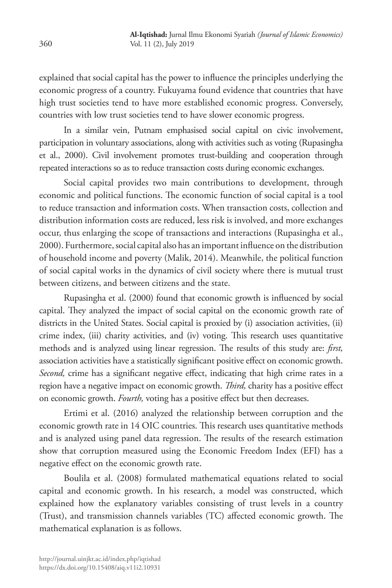explained that social capital has the power to influence the principles underlying the economic progress of a country. Fukuyama found evidence that countries that have high trust societies tend to have more established economic progress. Conversely, countries with low trust societies tend to have slower economic progress.

In a similar vein, Putnam emphasised social capital on civic involvement, participation in voluntary associations, along with activities such as voting (Rupasingha et al., 2000). Civil involvement promotes trust-building and cooperation through repeated interactions so as to reduce transaction costs during economic exchanges.

Social capital provides two main contributions to development, through economic and political functions. The economic function of social capital is a tool to reduce transaction and information costs. When transaction costs, collection and distribution information costs are reduced, less risk is involved, and more exchanges occur, thus enlarging the scope of transactions and interactions (Rupasingha et al., 2000). Furthermore, social capital also has an important influence on the distribution of household income and poverty (Malik, 2014). Meanwhile, the political function of social capital works in the dynamics of civil society where there is mutual trust between citizens, and between citizens and the state.

Rupasingha et al. (2000) found that economic growth is influenced by social capital. They analyzed the impact of social capital on the economic growth rate of districts in the United States. Social capital is proxied by (i) association activities, (ii) crime index, (iii) charity activities, and (iv) voting. This research uses quantitative methods and is analyzed using linear regression. The results of this study are: *first,* association activities have a statistically significant positive effect on economic growth. *Second,* crime has a significant negative effect, indicating that high crime rates in a region have a negative impact on economic growth. *Third,* charity has a positive effect on economic growth. *Fourth,* voting has a positive effect but then decreases.

Ertimi et al. (2016) analyzed the relationship between corruption and the economic growth rate in 14 OIC countries. This research uses quantitative methods and is analyzed using panel data regression. The results of the research estimation show that corruption measured using the Economic Freedom Index (EFI) has a negative effect on the economic growth rate.

Boulila et al. (2008) formulated mathematical equations related to social capital and economic growth. In his research, a model was constructed, which explained how the explanatory variables consisting of trust levels in a country (Trust), and transmission channels variables (TC) affected economic growth. The mathematical explanation is as follows.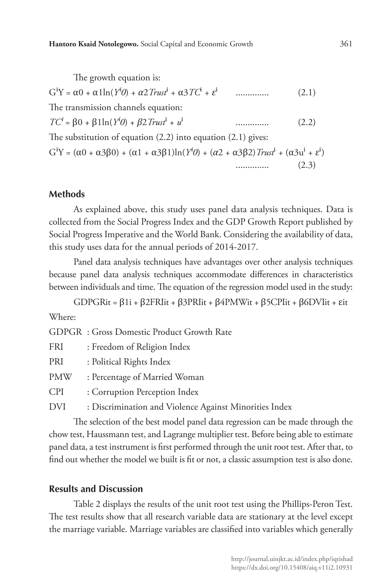The growth equation is: GⁱY = α0 + α1ln(*Yⁱ0*) + *α*2*Trust*ⁱ + α3*TC*ⁱ + *ε*ⁱ .............. (2.1) The transmission channels equation: *TCⁱ* = β0 + β1ln(*Yⁱ0*) + *β*2*Trust*ⁱ + *u*ⁱ .............. (2.2) The substitution of equation (2.2) into equation (2.1) gives: G<sup>i</sup>Y =  $(\alpha 0 + \alpha 3\beta 0) + (\alpha 1 + \alpha 3\beta 1)ln(Y^i0) + (\alpha 2 + \alpha 3\beta 2)$ *Trust*<sup>i</sup> +  $(\alpha 3u^i + \varepsilon^i)$ .............. (2.3)

#### **Methods**

As explained above, this study uses panel data analysis techniques. Data is collected from the Social Progress Index and the GDP Growth Report published by Social Progress Imperative and the World Bank. Considering the availability of data, this study uses data for the annual periods of 2014-2017.

Panel data analysis techniques have advantages over other analysis techniques because panel data analysis techniques accommodate differences in characteristics between individuals and time. The equation of the regression model used in the study:

GDPGRit = β1i + β2FRIit + β3PRIit + β4PMWit + β5CPIit + β6DVIit + εit

Where:

GDPGR : Gross Domestic Product Growth Rate

| FRI | : Freedom of Religion Index                            |
|-----|--------------------------------------------------------|
| PRI | : Political Rights Index                               |
| PMW | : Percentage of Married Woman                          |
| CPI | : Corruption Perception Index                          |
| DVI | : Discrimination and Violence Against Minorities Index |

The selection of the best model panel data regression can be made through the chow test, Haussmann test, and Lagrange multiplier test. Before being able to estimate panel data, a test instrument is first performed through the unit root test. After that, to find out whether the model we built is fit or not, a classic assumption test is also done.

### **Results and Discussion**

Table 2 displays the results of the unit root test using the Phillips-Peron Test. The test results show that all research variable data are stationary at the level except the marriage variable. Marriage variables are classified into variables which generally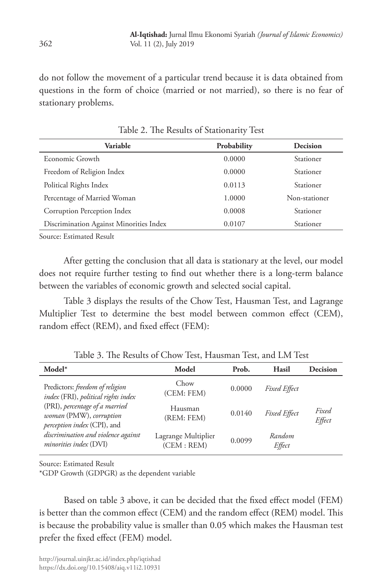do not follow the movement of a particular trend because it is data obtained from questions in the form of choice (married or not married), so there is no fear of stationary problems.

| Probability | Decision         |
|-------------|------------------|
| 0.0000      | Stationer        |
| 0.0000      | <b>Stationer</b> |
| 0.0113      | <b>Stationer</b> |
| 1.0000      | Non-stationer    |
| 0.0008      | Stationer        |
| 0.0107      | Stationer        |
|             |                  |

Table 2. The Results of Stationarity Test

Source: Estimated Result

After getting the conclusion that all data is stationary at the level, our model does not require further testing to find out whether there is a long-term balance between the variables of economic growth and selected social capital.

Table 3 displays the results of the Chow Test, Hausman Test, and Lagrange Multiplier Test to determine the best model between common effect (CEM), random effect (REM), and fixed effect (FEM):

| $Model*$                                                                                 | Model                              | Prob.  | Hasil               | Decision        |
|------------------------------------------------------------------------------------------|------------------------------------|--------|---------------------|-----------------|
| Predictors: freedom of religion<br>index (FRI), political rights index                   | Chow<br>(CEM: FEM)                 | 0.0000 | <b>Fixed Effect</b> |                 |
| (PRI), percentage of a married<br>woman (PMW), corruption<br>perception index (CPI), and | Hausman<br>(REM: FEM)              | 0.0140 | <b>Fixed Effect</b> | Fixed<br>Effect |
| discrimination and violence against<br>minorities index (DVI)                            | Lagrange Multiplier<br>(CEM : REM) | 0.0099 | Random<br>Effect    |                 |

Table 3. The Results of Chow Test, Hausman Test, and LM Test

Source: Estimated Result

\*GDP Growth (GDPGR) as the dependent variable

Based on table 3 above, it can be decided that the fixed effect model (FEM) is better than the common effect (CEM) and the random effect (REM) model. This is because the probability value is smaller than 0.05 which makes the Hausman test prefer the fixed effect (FEM) model.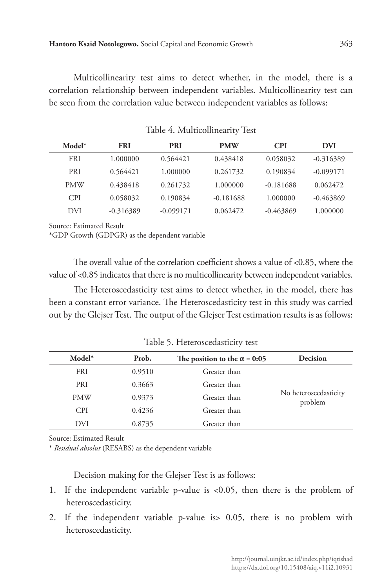Multicollinearity test aims to detect whether, in the model, there is a correlation relationship between independent variables. Multicollinearity test can be seen from the correlation value between independent variables as follows:

| $Model*$   | <b>FRI</b>  | <b>PRI</b>  | <b>PMW</b>  | CPI         | DVI         |
|------------|-------------|-------------|-------------|-------------|-------------|
| <b>FRI</b> | 1.000000    | 0.564421    | 0.438418    | 0.058032    | $-0.316389$ |
| <b>PRI</b> | 0.564421    | 1.000000    | 0.261732    | 0.190834    | $-0.099171$ |
| <b>PMW</b> | 0.438418    | 0.261732    | 1.000000    | $-0.181688$ | 0.062472    |
| <b>CPI</b> | 0.058032    | 0.190834    | $-0.181688$ | 1.000000    | $-0.463869$ |
| DVI        | $-0.316389$ | $-0.099171$ | 0.062472    | $-0.463869$ | 1.000000    |

Table 4. Multicollinearity Test

Source: Estimated Result

\*GDP Growth (GDPGR) as the dependent variable

The overall value of the correlation coefficient shows a value of <0.85, where the value of <0.85 indicates that there is no multicollinearity between independent variables.

The Heteroscedasticity test aims to detect whether, in the model, there has been a constant error variance. The Heteroscedasticity test in this study was carried out by the Glejser Test. The output of the Glejser Test estimation results is as follows:

| $Model*$   | Prob.  | The position to the $\alpha$ = 0:05 | Decision                         |
|------------|--------|-------------------------------------|----------------------------------|
| <b>FRI</b> | 0.9510 | Greater than                        |                                  |
| <b>PRI</b> | 0.3663 | Greater than                        |                                  |
| <b>PMW</b> | 0.9373 | Greater than                        | No heteroscedasticity<br>problem |
| <b>CPI</b> | 0.4236 | Greater than                        |                                  |
| <b>DVI</b> | 0.8735 | Greater than                        |                                  |

Table 5. Heteroscedasticity test

Source: Estimated Result

\* *Residual absolut* (RESABS) as the dependent variable

Decision making for the Glejser Test is as follows:

- 1. If the independent variable p-value is <0.05, then there is the problem of heteroscedasticity.
- 2. If the independent variable p-value is> 0.05, there is no problem with heteroscedasticity.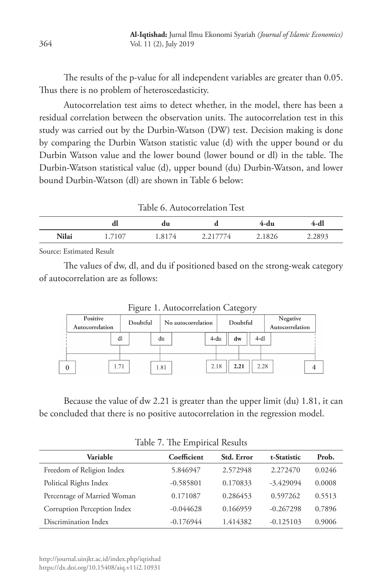The results of the p-value for all independent variables are greater than 0.05. Thus there is no problem of heteroscedasticity.

Autocorrelation test aims to detect whether, in the model, there has been a residual correlation between the observation units. The autocorrelation test in this study was carried out by the Durbin-Watson (DW) test. Decision making is done by comparing the Durbin Watson statistic value (d) with the upper bound or du Durbin Watson value and the lower bound (lower bound or dl) in the table. The Durbin-Watson statistical value (d), upper bound (du) Durbin-Watson, and lower bound Durbin-Watson (dl) are shown in Table 6 below:

Table 6. Autocorrelation Test

|              | aı              | du                     |                  | 4-du   |        |
|--------------|-----------------|------------------------|------------------|--------|--------|
| <b>Nilai</b> | /107<br>$\pm$ . | 1.817<br>$\frac{4}{4}$ | 4'<br><u>_ _</u> | 2.1826 | 2.2893 |

Source: Estimated Result

The values of dw, dl, and du if positioned based on the strong-weak category of autocorrelation are as follows:

| Positive<br>Autocorrelation |    | Doubtful |      | No autocorrelation |      | Doubtful |        | Negative<br>Autocorrelation |
|-----------------------------|----|----------|------|--------------------|------|----------|--------|-----------------------------|
|                             | dl |          | du   |                    | 4-du | dw       | $4-d1$ |                             |
| 1.71                        |    |          | 1.81 |                    | 2.18 | 2.21     | 2.28   |                             |

Figure 1. Autocorrelation Category

Because the value of dw 2.21 is greater than the upper limit (du) 1.81, it can be concluded that there is no positive autocorrelation in the regression model.

| Table 7. The Emphical Results |             |            |             |        |  |  |  |
|-------------------------------|-------------|------------|-------------|--------|--|--|--|
| Variable                      | Coefficient | Std. Error | t-Statistic | Prob.  |  |  |  |
| Freedom of Religion Index     | 5.846947    | 2.572948   | 2.272470    | 0.0246 |  |  |  |
| Political Rights Index        | $-0.585801$ | 0.170833   | $-3.429094$ | 0.0008 |  |  |  |
| Percentage of Married Woman   | 0.171087    | 0.286453   | 0.597262    | 0.5513 |  |  |  |
| Corruption Perception Index   | $-0.044628$ | 0.166959   | $-0.267298$ | 0.7896 |  |  |  |
| Discrimination Index          | $-0.176944$ | 1.414382   | $-0.125103$ | 0.9006 |  |  |  |

Table 7. The Empirical Results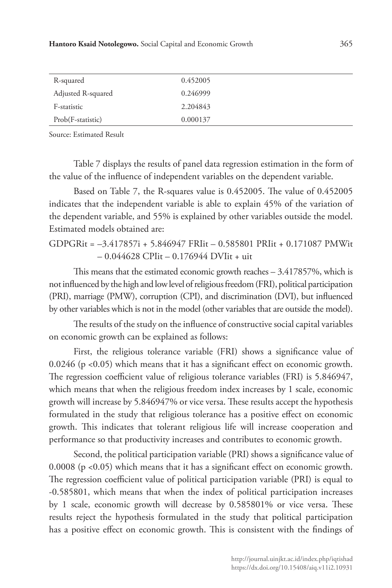| R-squared          | 0.452005 |  |
|--------------------|----------|--|
| Adjusted R-squared | 0.246999 |  |
| F-statistic        | 2.204843 |  |
| Prob(F-statistic)  | 0.000137 |  |
|                    |          |  |

Source: Estimated Result

Table 7 displays the results of panel data regression estimation in the form of the value of the influence of independent variables on the dependent variable.

Based on Table 7, the R-squares value is 0.452005. The value of 0.452005 indicates that the independent variable is able to explain 45% of the variation of the dependent variable, and 55% is explained by other variables outside the model. Estimated models obtained are:

GDPGRit = –3.417857i + 5.846947 FRIit – 0.585801 PRIit + 0.171087 PMWit – 0.044628 CPIit – 0.176944 DVIit + uit

This means that the estimated economic growth reaches – 3.417857%, which is not influenced by the high and low level of religious freedom (FRI), political participation (PRI), marriage (PMW), corruption (CPI), and discrimination (DVI), but influenced by other variables which is not in the model (other variables that are outside the model).

The results of the study on the influence of constructive social capital variables on economic growth can be explained as follows:

First, the religious tolerance variable (FRI) shows a significance value of 0.0246 (p <0.05) which means that it has a significant effect on economic growth. The regression coefficient value of religious tolerance variables (FRI) is 5.846947, which means that when the religious freedom index increases by 1 scale, economic growth will increase by 5.846947% or vice versa. These results accept the hypothesis formulated in the study that religious tolerance has a positive effect on economic growth. This indicates that tolerant religious life will increase cooperation and performance so that productivity increases and contributes to economic growth.

Second, the political participation variable (PRI) shows a significance value of 0.0008 (p <0.05) which means that it has a significant effect on economic growth. The regression coefficient value of political participation variable (PRI) is equal to -0.585801, which means that when the index of political participation increases by 1 scale, economic growth will decrease by 0.585801% or vice versa. These results reject the hypothesis formulated in the study that political participation has a positive effect on economic growth. This is consistent with the findings of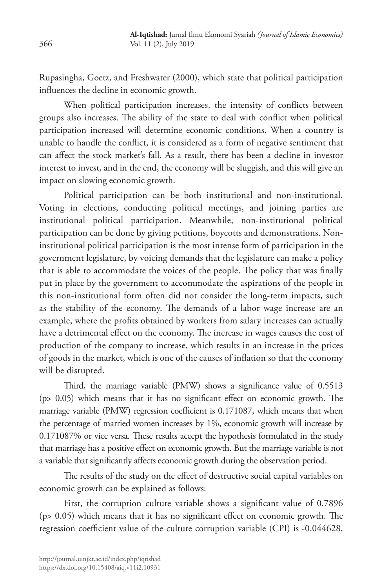Rupasingha, Goetz, and Freshwater (2000), which state that political participation influences the decline in economic growth.

When political participation increases, the intensity of conflicts between groups also increases. The ability of the state to deal with conflict when political participation increased will determine economic conditions. When a country is unable to handle the conflict, it is considered as a form of negative sentiment that can affect the stock market's fall. As a result, there has been a decline in investor interest to invest, and in the end, the economy will be sluggish, and this will give an impact on slowing economic growth.

Political participation can be both institutional and non-institutional. Voting in elections, conducting political meetings, and joining parties are institutional political participation. Meanwhile, non-institutional political participation can be done by giving petitions, boycotts and demonstrations. Noninstitutional political participation is the most intense form of participation in the government legislature, by voicing demands that the legislature can make a policy that is able to accommodate the voices of the people. The policy that was finally put in place by the government to accommodate the aspirations of the people in this non-institutional form often did not consider the long-term impacts, such as the stability of the economy. The demands of a labor wage increase are an example, where the profits obtained by workers from salary increases can actually have a detrimental effect on the economy. The increase in wages causes the cost of production of the company to increase, which results in an increase in the prices of goods in the market, which is one of the causes of inflation so that the economy will be disrupted.

Third, the marriage variable (PMW) shows a significance value of 0.5513 (p> 0.05) which means that it has no significant effect on economic growth. The marriage variable (PMW) regression coefficient is 0.171087, which means that when the percentage of married women increases by 1%, economic growth will increase by 0.171087% or vice versa. These results accept the hypothesis formulated in the study that marriage has a positive effect on economic growth. But the marriage variable is not a variable that significantly affects economic growth during the observation period.

The results of the study on the effect of destructive social capital variables on economic growth can be explained as follows:

First, the corruption culture variable shows a significant value of 0.7896 (p> 0.05) which means that it has no significant effect on economic growth. The regression coefficient value of the culture corruption variable (CPI) is -0.044628,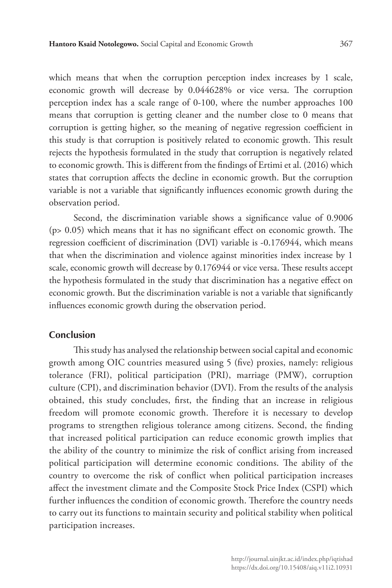which means that when the corruption perception index increases by 1 scale, economic growth will decrease by 0.044628% or vice versa. The corruption perception index has a scale range of 0-100, where the number approaches 100 means that corruption is getting cleaner and the number close to 0 means that corruption is getting higher, so the meaning of negative regression coefficient in this study is that corruption is positively related to economic growth. This result rejects the hypothesis formulated in the study that corruption is negatively related to economic growth. This is different from the findings of Ertimi et al. (2016) which states that corruption affects the decline in economic growth. But the corruption variable is not a variable that significantly influences economic growth during the observation period.

Second, the discrimination variable shows a significance value of 0.9006 (p> 0.05) which means that it has no significant effect on economic growth. The regression coefficient of discrimination (DVI) variable is -0.176944, which means that when the discrimination and violence against minorities index increase by 1 scale, economic growth will decrease by 0.176944 or vice versa. These results accept the hypothesis formulated in the study that discrimination has a negative effect on economic growth. But the discrimination variable is not a variable that significantly influences economic growth during the observation period.

# **Conclusion**

This study has analysed the relationship between social capital and economic growth among OIC countries measured using 5 (five) proxies, namely: religious tolerance (FRI), political participation (PRI), marriage (PMW), corruption culture (CPI), and discrimination behavior (DVI). From the results of the analysis obtained, this study concludes, first, the finding that an increase in religious freedom will promote economic growth. Therefore it is necessary to develop programs to strengthen religious tolerance among citizens. Second, the finding that increased political participation can reduce economic growth implies that the ability of the country to minimize the risk of conflict arising from increased political participation will determine economic conditions. The ability of the country to overcome the risk of conflict when political participation increases affect the investment climate and the Composite Stock Price Index (CSPI) which further influences the condition of economic growth. Therefore the country needs to carry out its functions to maintain security and political stability when political participation increases.